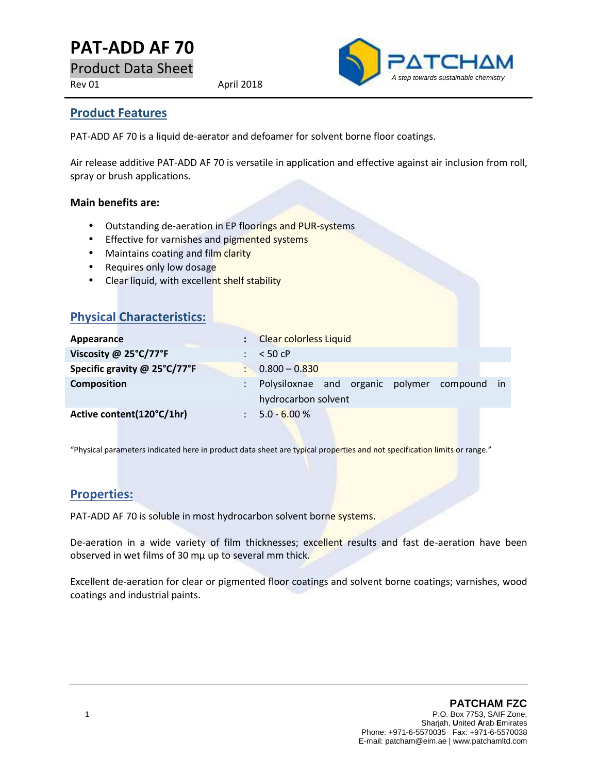# **PAT-ADD AF 70**

Product Data Sheet

Rev 01 April 2018



### **Product Features**

PAT-ADD AF 70 is a liquid de-aerator and defoamer for solvent borne floor coatings.

Air release additive PAT-ADD AF 70 is versatile in application and effective against air inclusion from roll, spray or brush applications.

#### **Main benefits are:**

- Outstanding de-aeration in EP floorings and PUR-systems
- Effective for varnishes and pigmented systems
- Maintains coating and film clarity
- Requires only low dosage

**Physical Characteristics:**

• Clear liquid, with excellent shelf stability

| <b>THYSICAL CHATACLE ISLICS.</b> |                                                                           |
|----------------------------------|---------------------------------------------------------------------------|
| Appearance                       | <b>Clear colorless Liquid</b>                                             |
| Viscosity @ 25°C/77°F            | $< 50$ cP                                                                 |
| Specific gravity @ 25°C/77°F     | $0.800 - 0.830$                                                           |
| <b>Composition</b>               | Polysiloxnae and organic polymer compound<br>$\ln$<br>hydrocarbon solvent |
| Active content(120°C/1hr)        | $5.0 - 6.00 %$                                                            |

"Physical parameters indicated here in product data sheet are typical properties and not specification limits or range."

## **Properties:**

PAT-ADD AF 70 is soluble in most hydrocarbon solvent borne systems.

De-aeration in a wide variety of film thicknesses; excellent results and fast de-aeration have been observed in wet films of 30 mµ up to several mm thick.

Excellent de-aeration for clear or pigmented floor coatings and solvent borne coatings; varnishes, wood coatings and industrial paints.